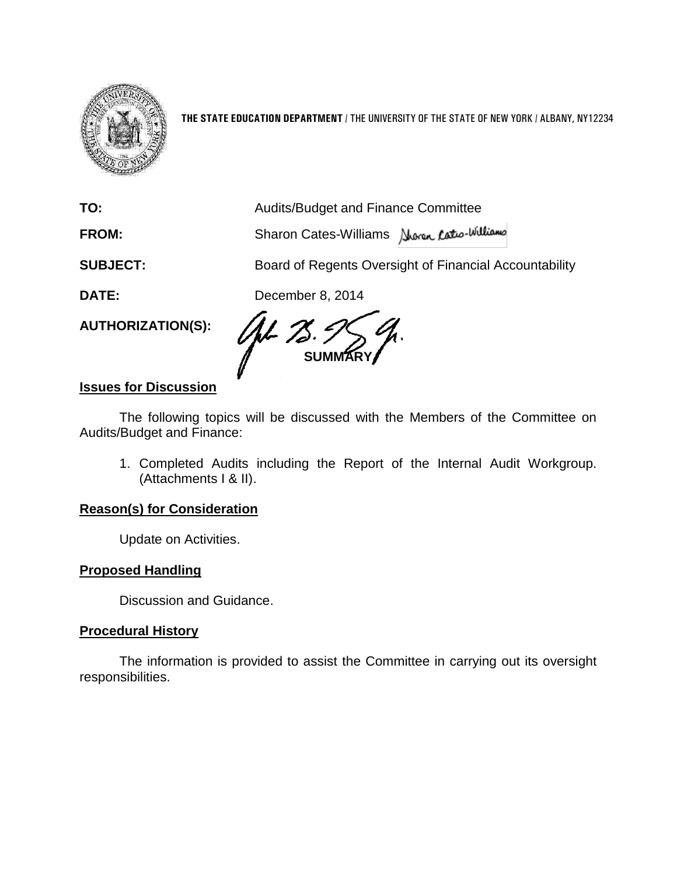

**THE STATE EDUCATION DEPARTMENT** / THE UNIVERSITY OF THE STATE OF NEW YORK / ALBANY, NY12234

**TO:** Audits/Budget and Finance Committee **FROM:** Sharon Cates-Williams **SUBJECT:** Board of Regents Oversight of Financial Accountability **DATE:** December 8, 2014 **AUTHORIZATION(S): SUM** 

## **Issues for Discussion**

The following topics will be discussed with the Members of the Committee on Audits/Budget and Finance:

1. Completed Audits including the Report of the Internal Audit Workgroup. (Attachments I & II).

## **Reason(s) for Consideration**

Update on Activities.

## **Proposed Handling**

Discussion and Guidance.

#### **Procedural History**

The information is provided to assist the Committee in carrying out its oversight responsibilities.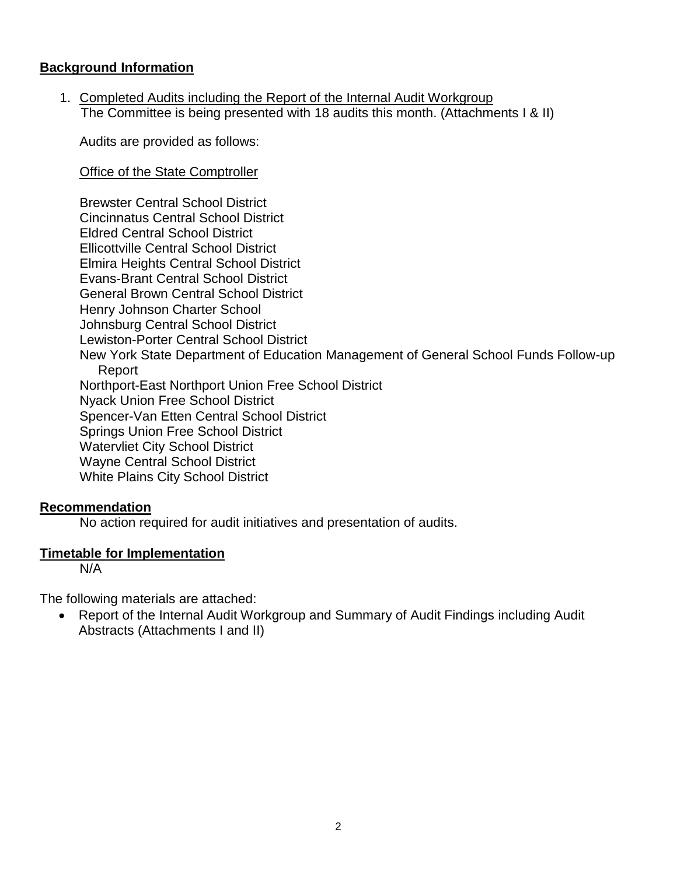## **Background Information**

1. Completed Audits including the Report of the Internal Audit Workgroup The Committee is being presented with 18 audits this month. (Attachments I & II)

Audits are provided as follows:

Office of the State Comptroller

Brewster Central School District Cincinnatus Central School District Eldred Central School District Ellicottville Central School District Elmira Heights Central School District Evans-Brant Central School District General Brown Central School District Henry Johnson Charter School Johnsburg Central School District Lewiston-Porter Central School District New York State Department of Education Management of General School Funds Follow-up Report Northport-East Northport Union Free School District Nyack Union Free School District Spencer-Van Etten Central School District Springs Union Free School District Watervliet City School District Wayne Central School District White Plains City School District

## **Recommendation**

No action required for audit initiatives and presentation of audits.

## **Timetable for Implementation**

N/A

The following materials are attached:

 Report of the Internal Audit Workgroup and Summary of Audit Findings including Audit Abstracts (Attachments I and II)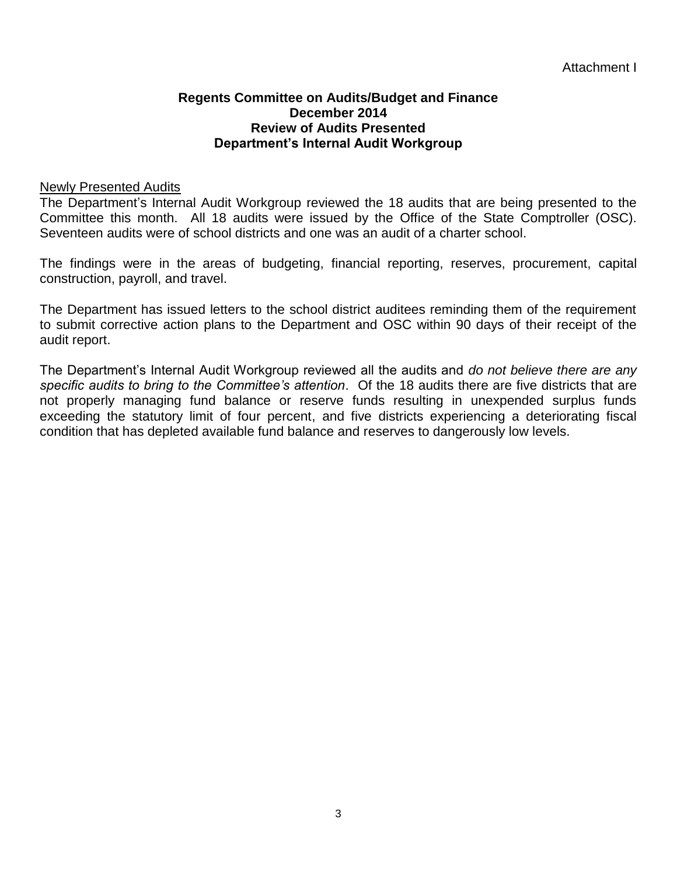#### **Regents Committee on Audits/Budget and Finance December 2014 Review of Audits Presented Department's Internal Audit Workgroup**

#### Newly Presented Audits

The Department's Internal Audit Workgroup reviewed the 18 audits that are being presented to the Committee this month. All 18 audits were issued by the Office of the State Comptroller (OSC). Seventeen audits were of school districts and one was an audit of a charter school.

The findings were in the areas of budgeting, financial reporting, reserves, procurement, capital construction, payroll, and travel.

The Department has issued letters to the school district auditees reminding them of the requirement to submit corrective action plans to the Department and OSC within 90 days of their receipt of the audit report.

The Department's Internal Audit Workgroup reviewed all the audits and *do not believe there are any specific audits to bring to the Committee's attention*. Of the 18 audits there are five districts that are not properly managing fund balance or reserve funds resulting in unexpended surplus funds exceeding the statutory limit of four percent, and five districts experiencing a deteriorating fiscal condition that has depleted available fund balance and reserves to dangerously low levels.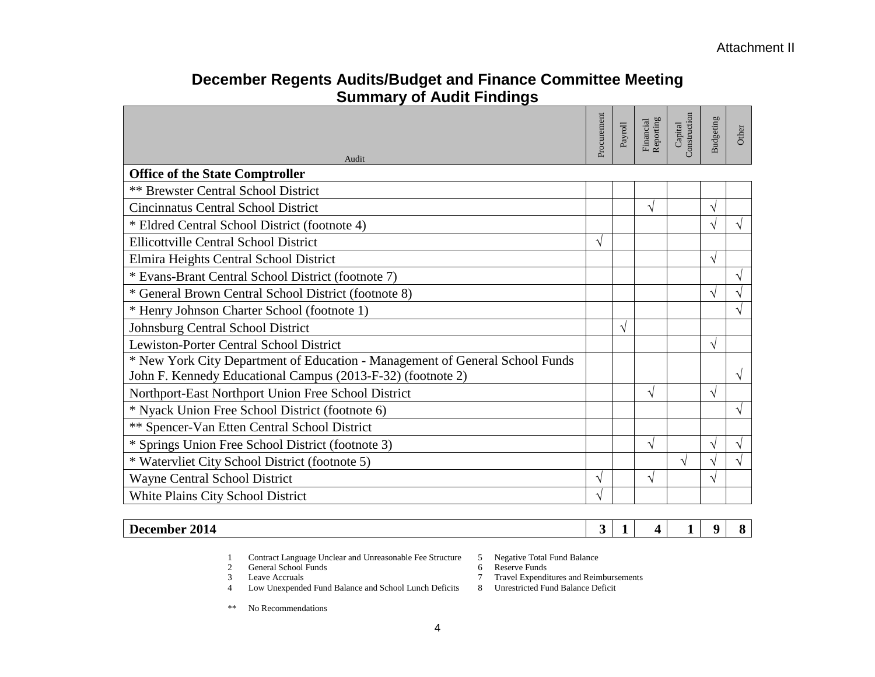# **December Regents Audits/Budget and Finance Committee Meeting Summary of Audit Findings**

|                                                                              | Procurement | Payroll | Financial<br>Reporting | Construction<br>Capital | Budgeting    | Other      |
|------------------------------------------------------------------------------|-------------|---------|------------------------|-------------------------|--------------|------------|
| Audit                                                                        |             |         |                        |                         |              |            |
| <b>Office of the State Comptroller</b>                                       |             |         |                        |                         |              |            |
| <b>** Brewster Central School District</b>                                   |             |         |                        |                         |              |            |
| <b>Cincinnatus Central School District</b>                                   |             |         | V                      |                         | $\sqrt{}$    |            |
| * Eldred Central School District (footnote 4)                                |             |         |                        |                         |              |            |
| <b>Ellicottville Central School District</b>                                 | N           |         |                        |                         |              |            |
| Elmira Heights Central School District                                       |             |         |                        |                         | $\sqrt{ }$   |            |
| * Evans-Brant Central School District (footnote 7)                           |             |         |                        |                         |              |            |
| * General Brown Central School District (footnote 8)                         |             |         |                        |                         | $\mathcal N$ |            |
| * Henry Johnson Charter School (footnote 1)                                  |             |         |                        |                         |              |            |
| <b>Johnsburg Central School District</b>                                     |             | V       |                        |                         |              |            |
| Lewiston-Porter Central School District                                      |             |         |                        |                         | $\sqrt{ }$   |            |
| * New York City Department of Education - Management of General School Funds |             |         |                        |                         |              |            |
| John F. Kennedy Educational Campus (2013-F-32) (footnote 2)                  |             |         |                        |                         |              | $\sqrt{ }$ |
| Northport-East Northport Union Free School District                          |             |         | V                      |                         | $\mathcal N$ |            |
| * Nyack Union Free School District (footnote 6)                              |             |         |                        |                         |              | V          |
| ** Spencer-Van Etten Central School District                                 |             |         |                        |                         |              |            |
| * Springs Union Free School District (footnote 3)                            |             |         | V                      |                         |              |            |
| * Watervliet City School District (footnote 5)                               |             |         |                        | $\mathcal{N}$           |              |            |
| Wayne Central School District                                                | N           |         | $\sqrt{}$              |                         | $\sqrt{ }$   |            |
| White Plains City School District                                            | V           |         |                        |                         |              |            |

#### **December 2014 3 1 4 1 9 8**

- 1 Contract Language Unclear and Unreasonable Fee Structure 5 Negative Total Fund Balance
- 2 General School Funds 6 6<br>3 Leave Accruals 7
- 
- 4 Low Unexpended Fund Balance and School Lunch Deficits
- \*\* No Recommendations
- 
- 
- 7 Travel Expenditures and Reimbursements<br>8 Unrestricted Fund Balance Deficit
-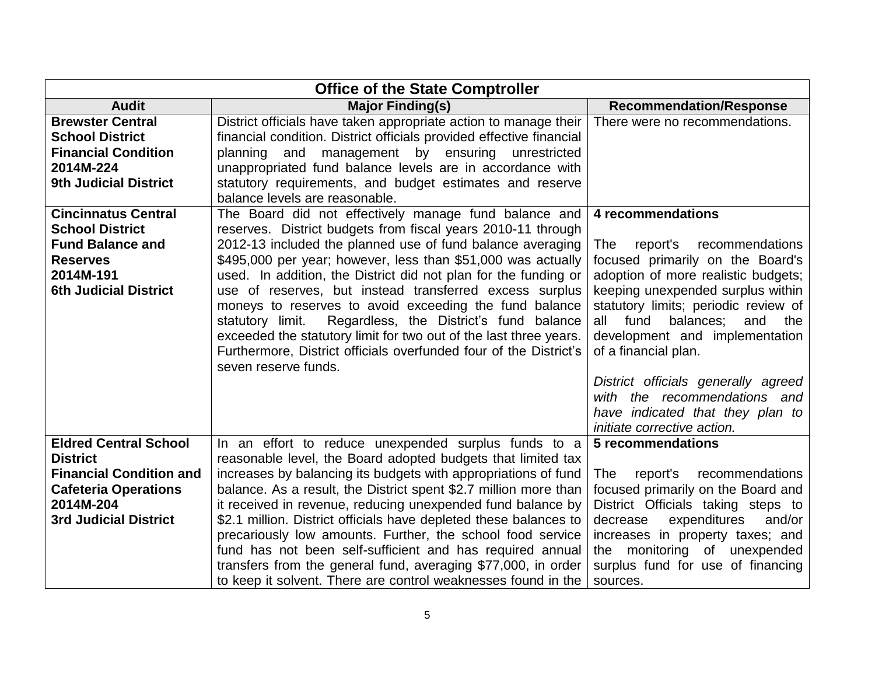| <b>Office of the State Comptroller</b>                                                                                                                        |                                                                                                                                                                                                                                                                                                                                                                                                                                                                                                                                                                                                                                                                              |                                                                                                                                                                                                                                                                                                                                                                                                                                                               |  |  |
|---------------------------------------------------------------------------------------------------------------------------------------------------------------|------------------------------------------------------------------------------------------------------------------------------------------------------------------------------------------------------------------------------------------------------------------------------------------------------------------------------------------------------------------------------------------------------------------------------------------------------------------------------------------------------------------------------------------------------------------------------------------------------------------------------------------------------------------------------|---------------------------------------------------------------------------------------------------------------------------------------------------------------------------------------------------------------------------------------------------------------------------------------------------------------------------------------------------------------------------------------------------------------------------------------------------------------|--|--|
| <b>Audit</b>                                                                                                                                                  | <b>Major Finding(s)</b>                                                                                                                                                                                                                                                                                                                                                                                                                                                                                                                                                                                                                                                      | <b>Recommendation/Response</b>                                                                                                                                                                                                                                                                                                                                                                                                                                |  |  |
| <b>Brewster Central</b><br><b>School District</b><br><b>Financial Condition</b><br>2014M-224<br><b>9th Judicial District</b>                                  | District officials have taken appropriate action to manage their<br>financial condition. District officials provided effective financial<br>and management by ensuring unrestricted<br>planning<br>unappropriated fund balance levels are in accordance with<br>statutory requirements, and budget estimates and reserve<br>balance levels are reasonable.                                                                                                                                                                                                                                                                                                                   | There were no recommendations.                                                                                                                                                                                                                                                                                                                                                                                                                                |  |  |
| <b>Cincinnatus Central</b><br><b>School District</b><br><b>Fund Balance and</b><br><b>Reserves</b><br>2014M-191<br><b>6th Judicial District</b>               | The Board did not effectively manage fund balance and<br>reserves. District budgets from fiscal years 2010-11 through<br>2012-13 included the planned use of fund balance averaging<br>\$495,000 per year; however, less than \$51,000 was actually<br>used. In addition, the District did not plan for the funding or<br>use of reserves, but instead transferred excess surplus<br>moneys to reserves to avoid exceeding the fund balance<br>statutory limit.<br>Regardless, the District's fund balance<br>exceeded the statutory limit for two out of the last three years.<br>Furthermore, District officials overfunded four of the District's<br>seven reserve funds. | 4 recommendations<br>The<br>report's<br>recommendations<br>focused primarily on the Board's<br>adoption of more realistic budgets;<br>keeping unexpended surplus within<br>statutory limits; periodic review of<br>fund<br>balances;<br>all<br>and<br>the<br>development and implementation<br>of a financial plan.<br>District officials generally agreed<br>with the recommendations and<br>have indicated that they plan to<br>initiate corrective action. |  |  |
| <b>Eldred Central School</b><br><b>District</b><br><b>Financial Condition and</b><br><b>Cafeteria Operations</b><br>2014M-204<br><b>3rd Judicial District</b> | In an effort to reduce unexpended surplus funds to a<br>reasonable level, the Board adopted budgets that limited tax<br>increases by balancing its budgets with appropriations of fund<br>balance. As a result, the District spent \$2.7 million more than<br>it received in revenue, reducing unexpended fund balance by<br>\$2.1 million. District officials have depleted these balances to                                                                                                                                                                                                                                                                               | 5 recommendations<br>recommendations<br>report's<br><b>The</b><br>focused primarily on the Board and<br>District Officials taking steps to<br>expenditures<br>and/or<br>decrease                                                                                                                                                                                                                                                                              |  |  |
|                                                                                                                                                               | precariously low amounts. Further, the school food service<br>fund has not been self-sufficient and has required annual<br>transfers from the general fund, averaging \$77,000, in order<br>to keep it solvent. There are control weaknesses found in the                                                                                                                                                                                                                                                                                                                                                                                                                    | increases in property taxes; and<br>the monitoring of unexpended<br>surplus fund for use of financing<br>sources.                                                                                                                                                                                                                                                                                                                                             |  |  |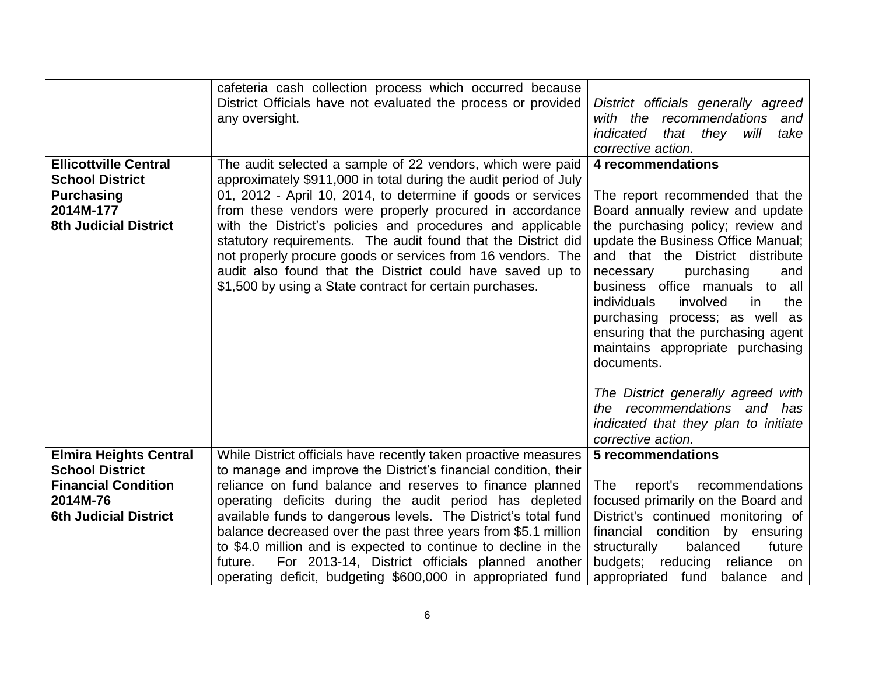|                                                                                                                                   | cafeteria cash collection process which occurred because<br>District Officials have not evaluated the process or provided<br>any oversight.                                                                                                                                                                                                                                                                                                                                                                                                                                                  | District officials generally agreed<br>with the<br>recommendations<br>and<br>indicated<br>that they<br>will<br>take<br>corrective action.                                                                                                                                                                                                                                                                                                                                                                                                                                                |
|-----------------------------------------------------------------------------------------------------------------------------------|----------------------------------------------------------------------------------------------------------------------------------------------------------------------------------------------------------------------------------------------------------------------------------------------------------------------------------------------------------------------------------------------------------------------------------------------------------------------------------------------------------------------------------------------------------------------------------------------|------------------------------------------------------------------------------------------------------------------------------------------------------------------------------------------------------------------------------------------------------------------------------------------------------------------------------------------------------------------------------------------------------------------------------------------------------------------------------------------------------------------------------------------------------------------------------------------|
| <b>Ellicottville Central</b><br><b>School District</b><br><b>Purchasing</b><br>2014M-177<br><b>8th Judicial District</b>          | The audit selected a sample of 22 vendors, which were paid<br>approximately \$911,000 in total during the audit period of July<br>01, 2012 - April 10, 2014, to determine if goods or services<br>from these vendors were properly procured in accordance<br>with the District's policies and procedures and applicable<br>statutory requirements. The audit found that the District did<br>not properly procure goods or services from 16 vendors. The<br>audit also found that the District could have saved up to<br>\$1,500 by using a State contract for certain purchases.             | 4 recommendations<br>The report recommended that the<br>Board annually review and update<br>the purchasing policy; review and<br>update the Business Office Manual;<br>and that the District distribute<br>purchasing<br>necessary<br>and<br>business office manuals to all<br><i>individuals</i><br>involved<br>the<br>in.<br>purchasing process; as well as<br>ensuring that the purchasing agent<br>maintains appropriate purchasing<br>documents.<br>The District generally agreed with<br>the recommendations and has<br>indicated that they plan to initiate<br>corrective action. |
| <b>Elmira Heights Central</b><br><b>School District</b><br><b>Financial Condition</b><br>2014M-76<br><b>6th Judicial District</b> | While District officials have recently taken proactive measures<br>to manage and improve the District's financial condition, their<br>reliance on fund balance and reserves to finance planned<br>operating deficits during the audit period has depleted<br>available funds to dangerous levels. The District's total fund<br>balance decreased over the past three years from \$5.1 million<br>to \$4.0 million and is expected to continue to decline in the<br>future.<br>For 2013-14, District officials planned another<br>operating deficit, budgeting \$600,000 in appropriated fund | <b>5 recommendations</b><br>report's<br>recommendations<br><b>The</b><br>focused primarily on the Board and<br>District's continued monitoring of<br>financial condition<br>by ensuring<br>structurally<br>balanced<br>future<br>budgets; reducing<br>reliance<br>on<br>appropriated fund<br>balance<br>and                                                                                                                                                                                                                                                                              |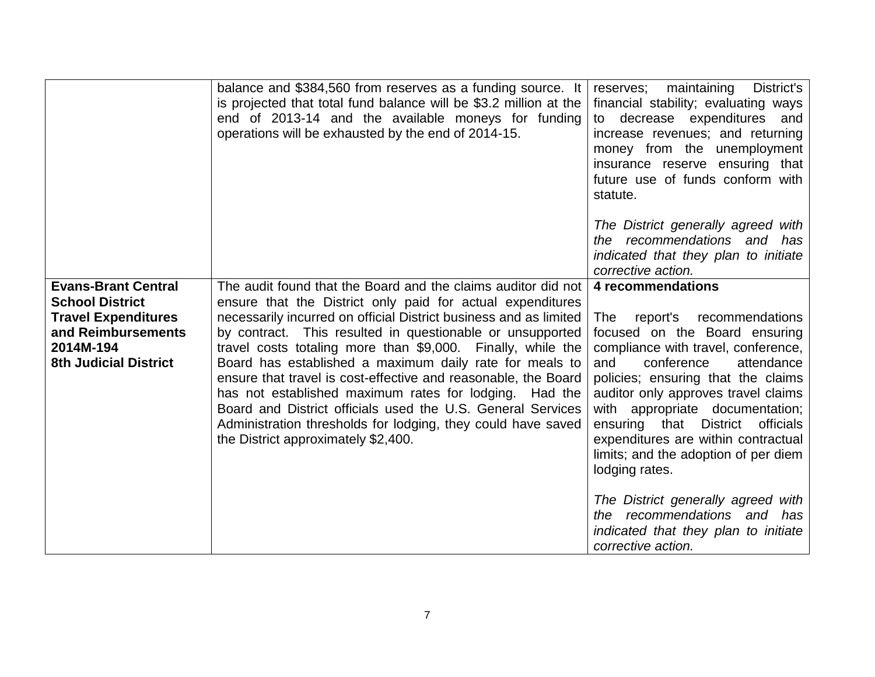|                                                                                                                                                       | balance and \$384,560 from reserves as a funding source. It<br>is projected that total fund balance will be \$3.2 million at the<br>end of 2013-14 and the available moneys for funding<br>operations will be exhausted by the end of 2014-15.                                                                                                                                                                                                                                                                                                                                                                                                                                            | maintaining<br>District's<br>reserves;<br>financial stability; evaluating ways<br>to decrease expenditures and<br>increase revenues; and returning<br>money from the unemployment<br>insurance reserve ensuring that<br>future use of funds conform with<br>statute.                                                                                                                                                                                                                                |
|-------------------------------------------------------------------------------------------------------------------------------------------------------|-------------------------------------------------------------------------------------------------------------------------------------------------------------------------------------------------------------------------------------------------------------------------------------------------------------------------------------------------------------------------------------------------------------------------------------------------------------------------------------------------------------------------------------------------------------------------------------------------------------------------------------------------------------------------------------------|-----------------------------------------------------------------------------------------------------------------------------------------------------------------------------------------------------------------------------------------------------------------------------------------------------------------------------------------------------------------------------------------------------------------------------------------------------------------------------------------------------|
|                                                                                                                                                       |                                                                                                                                                                                                                                                                                                                                                                                                                                                                                                                                                                                                                                                                                           | The District generally agreed with<br>the recommendations and has<br>indicated that they plan to initiate<br>corrective action.                                                                                                                                                                                                                                                                                                                                                                     |
| <b>Evans-Brant Central</b><br><b>School District</b><br><b>Travel Expenditures</b><br>and Reimbursements<br>2014M-194<br><b>8th Judicial District</b> | The audit found that the Board and the claims auditor did not<br>ensure that the District only paid for actual expenditures<br>necessarily incurred on official District business and as limited<br>by contract. This resulted in questionable or unsupported<br>travel costs totaling more than \$9,000. Finally, while the<br>Board has established a maximum daily rate for meals to<br>ensure that travel is cost-effective and reasonable, the Board<br>has not established maximum rates for lodging. Had the<br>Board and District officials used the U.S. General Services<br>Administration thresholds for lodging, they could have saved<br>the District approximately \$2,400. | 4 recommendations<br>report's recommendations<br><b>The</b><br>focused on the Board ensuring<br>compliance with travel, conference,<br>conference<br>and<br>attendance<br>policies; ensuring that the claims<br>auditor only approves travel claims<br>with appropriate documentation;<br>ensuring that District<br>officials<br>expenditures are within contractual<br>limits; and the adoption of per diem<br>lodging rates.<br>The District generally agreed with<br>the recommendations and has |
|                                                                                                                                                       |                                                                                                                                                                                                                                                                                                                                                                                                                                                                                                                                                                                                                                                                                           | indicated that they plan to initiate<br>corrective action.                                                                                                                                                                                                                                                                                                                                                                                                                                          |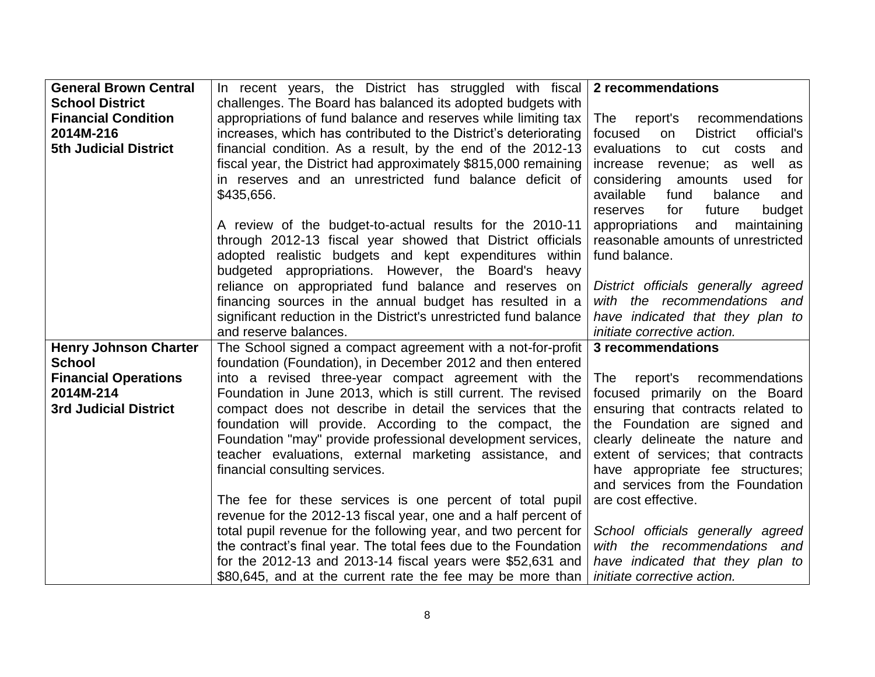| <b>General Brown Central</b> | In recent years, the District has struggled with fiscal 2 recommendations |                                                |
|------------------------------|---------------------------------------------------------------------------|------------------------------------------------|
| <b>School District</b>       | challenges. The Board has balanced its adopted budgets with               |                                                |
| <b>Financial Condition</b>   | appropriations of fund balance and reserves while limiting tax            | The<br>report's recommendations                |
| 2014M-216                    | increases, which has contributed to the District's deteriorating          | focused<br><b>District</b><br>official's<br>on |
| <b>5th Judicial District</b> | financial condition. As a result, by the end of the 2012-13               | evaluations to cut costs and                   |
|                              | fiscal year, the District had approximately \$815,000 remaining           | increase revenue; as well as                   |
|                              | in reserves and an unrestricted fund balance deficit of                   | considering amounts used<br>for                |
|                              | \$435,656.                                                                | available<br>fund<br>balance<br>and            |
|                              |                                                                           | future<br>budget<br>reserves<br>for            |
|                              | A review of the budget-to-actual results for the 2010-11                  | appropriations<br>and<br>maintaining           |
|                              | through 2012-13 fiscal year showed that District officials                | reasonable amounts of unrestricted             |
|                              | adopted realistic budgets and kept expenditures within                    | fund balance.                                  |
|                              | budgeted appropriations. However, the Board's heavy                       |                                                |
|                              | reliance on appropriated fund balance and reserves on                     | District officials generally agreed            |
|                              | financing sources in the annual budget has resulted in a                  | with the recommendations and                   |
|                              | significant reduction in the District's unrestricted fund balance         | have indicated that they plan to               |
|                              | and reserve balances.                                                     | initiate corrective action.                    |
| <b>Henry Johnson Charter</b> | The School signed a compact agreement with a not-for-profit               | 3 recommendations                              |
| <b>School</b>                | foundation (Foundation), in December 2012 and then entered                |                                                |
| <b>Financial Operations</b>  | into a revised three-year compact agreement with the                      | report's recommendations<br>The                |
| 2014M-214                    | Foundation in June 2013, which is still current. The revised              | focused primarily on the Board                 |
| <b>3rd Judicial District</b> | compact does not describe in detail the services that the                 | ensuring that contracts related to             |
|                              | foundation will provide. According to the compact, the                    | the Foundation are signed and                  |
|                              | Foundation "may" provide professional development services,               | clearly delineate the nature and               |
|                              | teacher evaluations, external marketing assistance, and                   | extent of services; that contracts             |
|                              | financial consulting services.                                            | have appropriate fee structures;               |
|                              |                                                                           | and services from the Foundation               |
|                              | The fee for these services is one percent of total pupil                  | are cost effective.                            |
|                              | revenue for the 2012-13 fiscal year, one and a half percent of            |                                                |
|                              | total pupil revenue for the following year, and two percent for           | School officials generally agreed              |
|                              | the contract's final year. The total fees due to the Foundation           | with the recommendations and                   |
|                              | for the 2012-13 and 2013-14 fiscal years were \$52,631 and                | have indicated that they plan to               |
|                              | \$80,645, and at the current rate the fee may be more than                | <i>initiate corrective action.</i>             |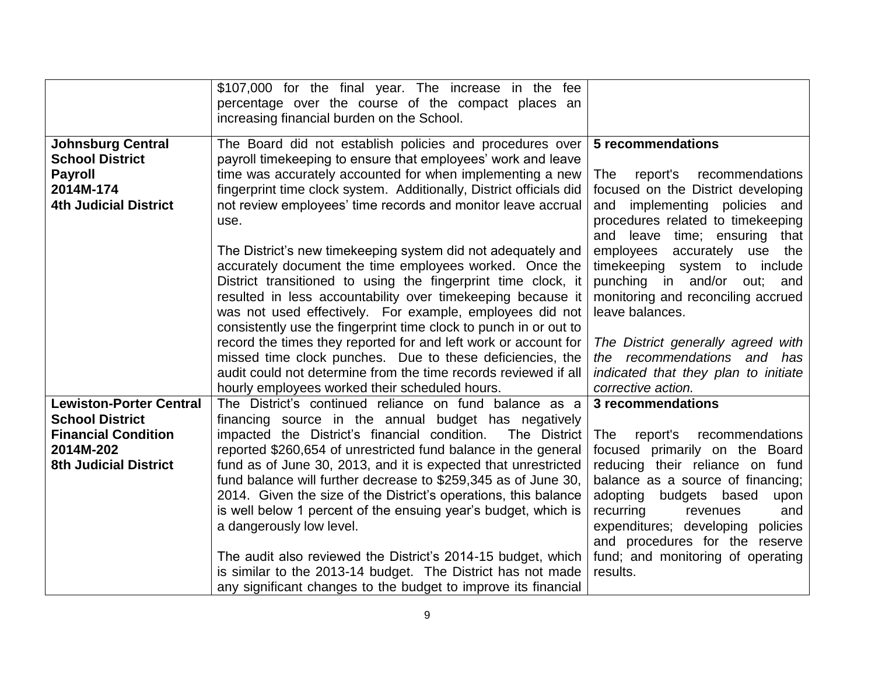|                                                                                                                                     | \$107,000 for the final year. The increase in the fee<br>percentage over the course of the compact places an<br>increasing financial burden on the School.                                                                                                                                                                                                                                                                                                                                                                                                                                                                                                                                                                                             |                                                                                                                                                                                                                                                                                                                                                                   |
|-------------------------------------------------------------------------------------------------------------------------------------|--------------------------------------------------------------------------------------------------------------------------------------------------------------------------------------------------------------------------------------------------------------------------------------------------------------------------------------------------------------------------------------------------------------------------------------------------------------------------------------------------------------------------------------------------------------------------------------------------------------------------------------------------------------------------------------------------------------------------------------------------------|-------------------------------------------------------------------------------------------------------------------------------------------------------------------------------------------------------------------------------------------------------------------------------------------------------------------------------------------------------------------|
| <b>Johnsburg Central</b><br><b>School District</b><br><b>Payroll</b><br>2014M-174<br><b>4th Judicial District</b>                   | The Board did not establish policies and procedures over<br>payroll timekeeping to ensure that employees' work and leave<br>time was accurately accounted for when implementing a new<br>fingerprint time clock system. Additionally, District officials did<br>not review employees' time records and monitor leave accrual<br>use.                                                                                                                                                                                                                                                                                                                                                                                                                   | 5 recommendations<br>report's<br>recommendations<br>The<br>focused on the District developing<br>implementing policies and<br>and<br>procedures related to timekeeping<br>and leave time; ensuring that                                                                                                                                                           |
|                                                                                                                                     | The District's new timekeeping system did not adequately and<br>accurately document the time employees worked. Once the<br>District transitioned to using the fingerprint time clock, it<br>resulted in less accountability over timekeeping because it<br>was not used effectively. For example, employees did not<br>consistently use the fingerprint time clock to punch in or out to<br>record the times they reported for and left work or account for<br>missed time clock punches. Due to these deficiencies, the<br>audit could not determine from the time records reviewed if all<br>hourly employees worked their scheduled hours.                                                                                                          | employees<br>accurately use the<br>timekeeping system to include<br>punching in and/or out; and<br>monitoring and reconciling accrued<br>leave balances.<br>The District generally agreed with<br>the recommendations and has<br>indicated that they plan to initiate<br>corrective action.                                                                       |
| <b>Lewiston-Porter Central</b><br><b>School District</b><br><b>Financial Condition</b><br>2014M-202<br><b>8th Judicial District</b> | The District's continued reliance on fund balance as a<br>financing source in the annual budget has negatively<br>impacted the District's financial condition.<br>The District<br>reported \$260,654 of unrestricted fund balance in the general<br>fund as of June 30, 2013, and it is expected that unrestricted<br>fund balance will further decrease to \$259,345 as of June 30,<br>2014. Given the size of the District's operations, this balance<br>is well below 1 percent of the ensuing year's budget, which is<br>a dangerously low level.<br>The audit also reviewed the District's 2014-15 budget, which<br>is similar to the 2013-14 budget. The District has not made<br>any significant changes to the budget to improve its financial | 3 recommendations<br>report's<br>recommendations<br>The<br>focused primarily on the Board<br>reducing their reliance on fund<br>balance as a source of financing;<br>adopting<br>budgets based<br>upon<br>recurring<br>revenues<br>and<br>expenditures; developing<br>policies<br>and procedures for the reserve<br>fund; and monitoring of operating<br>results. |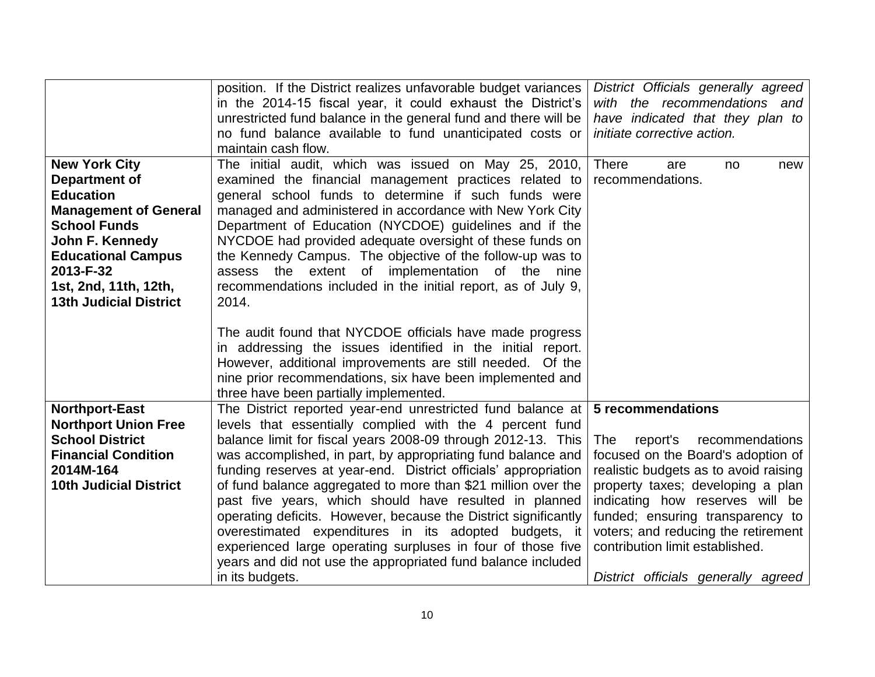|                                                                                                                                                                                                                                         | position. If the District realizes unfavorable budget variances<br>in the 2014-15 fiscal year, it could exhaust the District's<br>unrestricted fund balance in the general fund and there will be<br>no fund balance available to fund unanticipated costs or                                                                                                                                                                                                                                                                                                                     | District Officials generally agreed<br>with the recommendations and<br>have indicated that they plan to<br>initiate corrective action.                                                                                                                                                                         |
|-----------------------------------------------------------------------------------------------------------------------------------------------------------------------------------------------------------------------------------------|-----------------------------------------------------------------------------------------------------------------------------------------------------------------------------------------------------------------------------------------------------------------------------------------------------------------------------------------------------------------------------------------------------------------------------------------------------------------------------------------------------------------------------------------------------------------------------------|----------------------------------------------------------------------------------------------------------------------------------------------------------------------------------------------------------------------------------------------------------------------------------------------------------------|
|                                                                                                                                                                                                                                         | maintain cash flow.                                                                                                                                                                                                                                                                                                                                                                                                                                                                                                                                                               |                                                                                                                                                                                                                                                                                                                |
| <b>New York City</b><br>Department of<br><b>Education</b><br><b>Management of General</b><br><b>School Funds</b><br>John F. Kennedy<br><b>Educational Campus</b><br>2013-F-32<br>1st, 2nd, 11th, 12th,<br><b>13th Judicial District</b> | The initial audit, which was issued on May 25, 2010,<br>examined the financial management practices related to<br>general school funds to determine if such funds were<br>managed and administered in accordance with New York City<br>Department of Education (NYCDOE) guidelines and if the<br>NYCDOE had provided adequate oversight of these funds on<br>the Kennedy Campus. The objective of the follow-up was to<br>assess the extent of implementation of the nine<br>recommendations included in the initial report, as of July 9,<br>2014.                               | <b>There</b><br>new<br>are<br>no<br>recommendations.                                                                                                                                                                                                                                                           |
|                                                                                                                                                                                                                                         | The audit found that NYCDOE officials have made progress<br>in addressing the issues identified in the initial report.<br>However, additional improvements are still needed. Of the<br>nine prior recommendations, six have been implemented and<br>three have been partially implemented.                                                                                                                                                                                                                                                                                        |                                                                                                                                                                                                                                                                                                                |
| <b>Northport-East</b>                                                                                                                                                                                                                   | The District reported year-end unrestricted fund balance at                                                                                                                                                                                                                                                                                                                                                                                                                                                                                                                       | 5 recommendations                                                                                                                                                                                                                                                                                              |
| <b>Northport Union Free</b><br><b>School District</b><br><b>Financial Condition</b><br>2014M-164<br><b>10th Judicial District</b>                                                                                                       | levels that essentially complied with the 4 percent fund<br>balance limit for fiscal years 2008-09 through 2012-13. This<br>was accomplished, in part, by appropriating fund balance and<br>funding reserves at year-end. District officials' appropriation<br>of fund balance aggregated to more than \$21 million over the<br>past five years, which should have resulted in planned<br>operating deficits. However, because the District significantly<br>overestimated expenditures in its adopted budgets, it<br>experienced large operating surpluses in four of those five | <b>The</b><br>report's<br>recommendations<br>focused on the Board's adoption of<br>realistic budgets as to avoid raising<br>property taxes; developing a plan<br>indicating how reserves will be<br>funded; ensuring transparency to<br>voters; and reducing the retirement<br>contribution limit established. |
|                                                                                                                                                                                                                                         | years and did not use the appropriated fund balance included<br>in its budgets.                                                                                                                                                                                                                                                                                                                                                                                                                                                                                                   | District officials generally agreed                                                                                                                                                                                                                                                                            |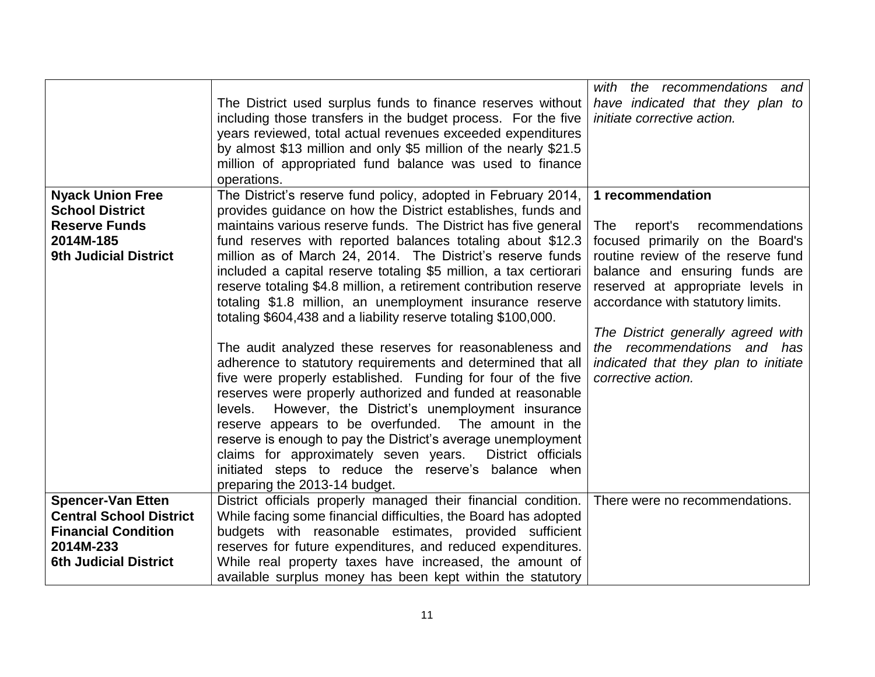|                                                                           | The District used surplus funds to finance reserves without<br>including those transfers in the budget process. For the five<br>years reviewed, total actual revenues exceeded expenditures<br>by almost \$13 million and only \$5 million of the nearly \$21.5<br>million of appropriated fund balance was used to finance                                                                                                                                                                                                                                                                    | with the recommendations and<br>have indicated that they plan to<br>initiate corrective action.                                                                                    |
|---------------------------------------------------------------------------|------------------------------------------------------------------------------------------------------------------------------------------------------------------------------------------------------------------------------------------------------------------------------------------------------------------------------------------------------------------------------------------------------------------------------------------------------------------------------------------------------------------------------------------------------------------------------------------------|------------------------------------------------------------------------------------------------------------------------------------------------------------------------------------|
|                                                                           | operations.                                                                                                                                                                                                                                                                                                                                                                                                                                                                                                                                                                                    |                                                                                                                                                                                    |
| <b>Nyack Union Free</b><br><b>School District</b><br><b>Reserve Funds</b> | The District's reserve fund policy, adopted in February 2014,<br>provides guidance on how the District establishes, funds and<br>maintains various reserve funds. The District has five general                                                                                                                                                                                                                                                                                                                                                                                                | 1 recommendation<br>report's<br>recommendations<br><b>The</b>                                                                                                                      |
| 2014M-185<br><b>9th Judicial District</b>                                 | fund reserves with reported balances totaling about \$12.3<br>million as of March 24, 2014. The District's reserve funds<br>included a capital reserve totaling \$5 million, a tax certiorari<br>reserve totaling \$4.8 million, a retirement contribution reserve<br>totaling \$1.8 million, an unemployment insurance reserve<br>totaling \$604,438 and a liability reserve totaling \$100,000.                                                                                                                                                                                              | focused primarily on the Board's<br>routine review of the reserve fund<br>balance and ensuring funds are<br>reserved at appropriate levels in<br>accordance with statutory limits. |
|                                                                           | The audit analyzed these reserves for reasonableness and<br>adherence to statutory requirements and determined that all<br>five were properly established. Funding for four of the five<br>reserves were properly authorized and funded at reasonable<br>However, the District's unemployment insurance<br>levels.<br>reserve appears to be overfunded. The amount in the<br>reserve is enough to pay the District's average unemployment<br>claims for approximately seven years. District officials<br>initiated steps to reduce the reserve's balance when<br>preparing the 2013-14 budget. | The District generally agreed with<br>the recommendations and has<br>indicated that they plan to initiate<br>corrective action.                                                    |
| <b>Spencer-Van Etten</b>                                                  | District officials properly managed their financial condition.                                                                                                                                                                                                                                                                                                                                                                                                                                                                                                                                 | There were no recommendations.                                                                                                                                                     |
| <b>Central School District</b>                                            | While facing some financial difficulties, the Board has adopted                                                                                                                                                                                                                                                                                                                                                                                                                                                                                                                                |                                                                                                                                                                                    |
| <b>Financial Condition</b>                                                | budgets with reasonable estimates, provided sufficient                                                                                                                                                                                                                                                                                                                                                                                                                                                                                                                                         |                                                                                                                                                                                    |
| 2014M-233                                                                 | reserves for future expenditures, and reduced expenditures.                                                                                                                                                                                                                                                                                                                                                                                                                                                                                                                                    |                                                                                                                                                                                    |
| <b>6th Judicial District</b>                                              | While real property taxes have increased, the amount of<br>available surplus money has been kept within the statutory                                                                                                                                                                                                                                                                                                                                                                                                                                                                          |                                                                                                                                                                                    |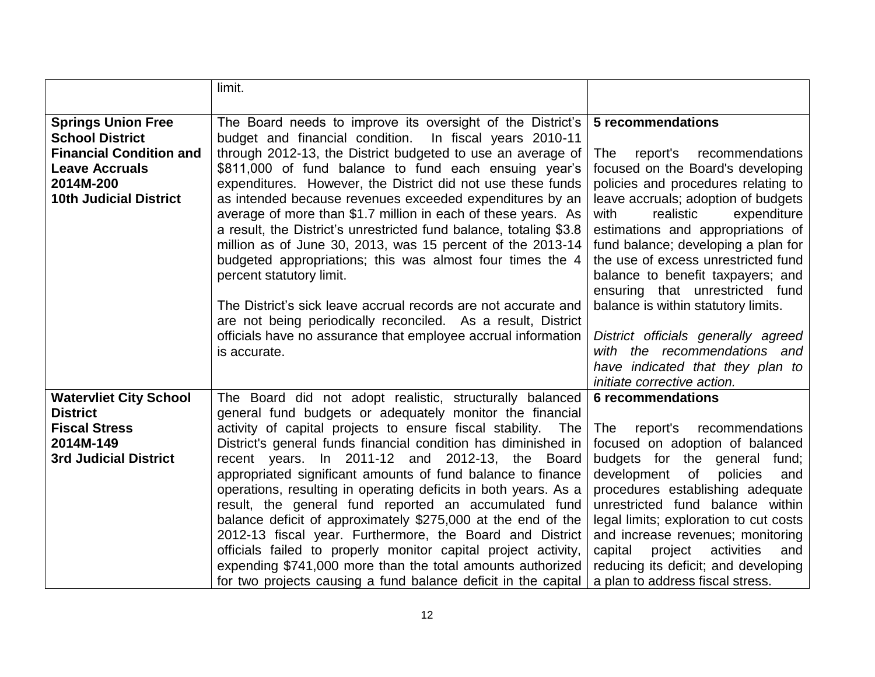|                                                     | limit.                                                                                                                                                                                                                                                                                                                                                                                                                                                                                                                                                                    |                                                                                                                                                                                                                                                                                                                                                                                                                      |
|-----------------------------------------------------|---------------------------------------------------------------------------------------------------------------------------------------------------------------------------------------------------------------------------------------------------------------------------------------------------------------------------------------------------------------------------------------------------------------------------------------------------------------------------------------------------------------------------------------------------------------------------|----------------------------------------------------------------------------------------------------------------------------------------------------------------------------------------------------------------------------------------------------------------------------------------------------------------------------------------------------------------------------------------------------------------------|
|                                                     |                                                                                                                                                                                                                                                                                                                                                                                                                                                                                                                                                                           |                                                                                                                                                                                                                                                                                                                                                                                                                      |
| <b>Springs Union Free</b><br><b>School District</b> | The Board needs to improve its oversight of the District's $\vert$ 5 recommendations<br>budget and financial condition.<br>In fiscal years 2010-11                                                                                                                                                                                                                                                                                                                                                                                                                        |                                                                                                                                                                                                                                                                                                                                                                                                                      |
| <b>Financial Condition and</b>                      | through 2012-13, the District budgeted to use an average of                                                                                                                                                                                                                                                                                                                                                                                                                                                                                                               | report's<br>recommendations<br><b>The</b>                                                                                                                                                                                                                                                                                                                                                                            |
| <b>Leave Accruals</b>                               | \$811,000 of fund balance to fund each ensuing year's                                                                                                                                                                                                                                                                                                                                                                                                                                                                                                                     | focused on the Board's developing                                                                                                                                                                                                                                                                                                                                                                                    |
| 2014M-200                                           | expenditures. However, the District did not use these funds                                                                                                                                                                                                                                                                                                                                                                                                                                                                                                               | policies and procedures relating to                                                                                                                                                                                                                                                                                                                                                                                  |
| <b>10th Judicial District</b>                       | as intended because revenues exceeded expenditures by an<br>average of more than \$1.7 million in each of these years. As<br>a result, the District's unrestricted fund balance, totaling \$3.8<br>million as of June 30, 2013, was 15 percent of the 2013-14<br>budgeted appropriations; this was almost four times the 4<br>percent statutory limit.<br>The District's sick leave accrual records are not accurate and<br>are not being periodically reconciled. As a result, District<br>officials have no assurance that employee accrual information<br>is accurate. | leave accruals; adoption of budgets<br>realistic<br>expenditure<br>with<br>estimations and appropriations of<br>fund balance; developing a plan for<br>the use of excess unrestricted fund<br>balance to benefit taxpayers; and<br>ensuring that unrestricted fund<br>balance is within statutory limits.<br>District officials generally agreed<br>with the recommendations and<br>have indicated that they plan to |
|                                                     |                                                                                                                                                                                                                                                                                                                                                                                                                                                                                                                                                                           | initiate corrective action.                                                                                                                                                                                                                                                                                                                                                                                          |
| <b>Watervliet City School</b>                       | The Board did not adopt realistic, structurally balanced                                                                                                                                                                                                                                                                                                                                                                                                                                                                                                                  | <b>6</b> recommendations                                                                                                                                                                                                                                                                                                                                                                                             |
| <b>District</b><br><b>Fiscal Stress</b>             | general fund budgets or adequately monitor the financial<br>activity of capital projects to ensure fiscal stability. The                                                                                                                                                                                                                                                                                                                                                                                                                                                  | The<br>recommendations<br>report's                                                                                                                                                                                                                                                                                                                                                                                   |
| 2014M-149                                           | District's general funds financial condition has diminished in                                                                                                                                                                                                                                                                                                                                                                                                                                                                                                            | focused on adoption of balanced                                                                                                                                                                                                                                                                                                                                                                                      |
| <b>3rd Judicial District</b>                        | recent years. In 2011-12 and 2012-13, the Board                                                                                                                                                                                                                                                                                                                                                                                                                                                                                                                           | budgets for the general fund;                                                                                                                                                                                                                                                                                                                                                                                        |
|                                                     | appropriated significant amounts of fund balance to finance                                                                                                                                                                                                                                                                                                                                                                                                                                                                                                               | development<br><b>of</b><br>policies<br>and                                                                                                                                                                                                                                                                                                                                                                          |
|                                                     | operations, resulting in operating deficits in both years. As a                                                                                                                                                                                                                                                                                                                                                                                                                                                                                                           | procedures establishing adequate                                                                                                                                                                                                                                                                                                                                                                                     |
|                                                     | result, the general fund reported an accumulated fund<br>balance deficit of approximately \$275,000 at the end of the                                                                                                                                                                                                                                                                                                                                                                                                                                                     | unrestricted fund balance within<br>legal limits; exploration to cut costs                                                                                                                                                                                                                                                                                                                                           |
|                                                     | 2012-13 fiscal year. Furthermore, the Board and District                                                                                                                                                                                                                                                                                                                                                                                                                                                                                                                  | and increase revenues; monitoring                                                                                                                                                                                                                                                                                                                                                                                    |
|                                                     | officials failed to properly monitor capital project activity,                                                                                                                                                                                                                                                                                                                                                                                                                                                                                                            | capital<br>project<br>activities<br>and                                                                                                                                                                                                                                                                                                                                                                              |
|                                                     | expending \$741,000 more than the total amounts authorized                                                                                                                                                                                                                                                                                                                                                                                                                                                                                                                | reducing its deficit; and developing                                                                                                                                                                                                                                                                                                                                                                                 |
|                                                     | for two projects causing a fund balance deficit in the capital                                                                                                                                                                                                                                                                                                                                                                                                                                                                                                            | a plan to address fiscal stress.                                                                                                                                                                                                                                                                                                                                                                                     |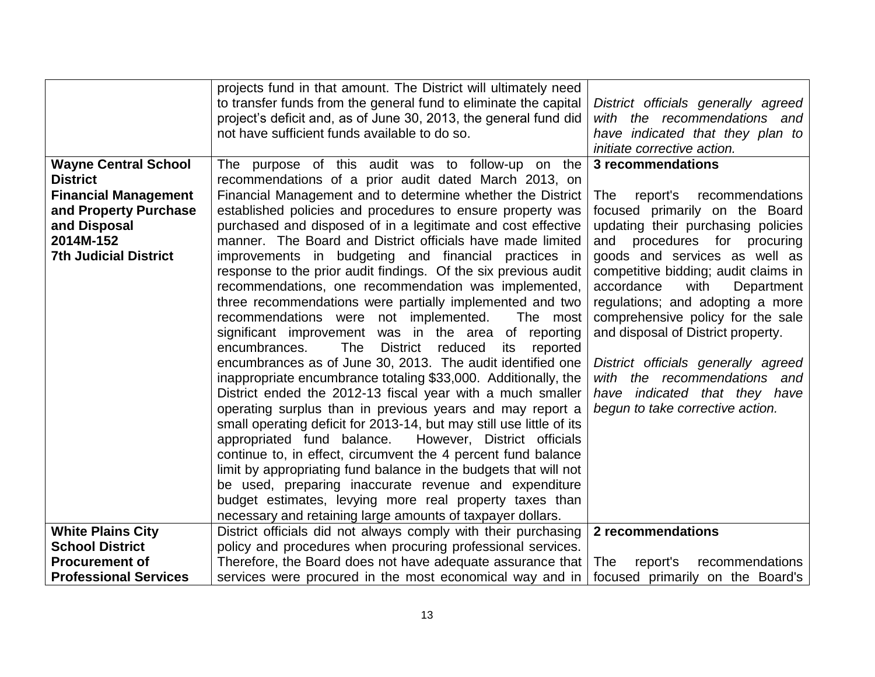|                              | projects fund in that amount. The District will ultimately need              |                                      |
|------------------------------|------------------------------------------------------------------------------|--------------------------------------|
|                              | to transfer funds from the general fund to eliminate the capital             | District officials generally agreed  |
|                              | project's deficit and, as of June 30, 2013, the general fund did             | with the recommendations and         |
|                              | not have sufficient funds available to do so.                                | have indicated that they plan to     |
|                              |                                                                              | initiate corrective action.          |
| <b>Wayne Central School</b>  | The purpose of this audit was to follow-up on the                            | 3 recommendations                    |
| <b>District</b>              | recommendations of a prior audit dated March 2013, on                        |                                      |
| <b>Financial Management</b>  | Financial Management and to determine whether the District                   | The<br>report's<br>recommendations   |
| and Property Purchase        | established policies and procedures to ensure property was                   | focused primarily on the Board       |
| and Disposal                 | purchased and disposed of in a legitimate and cost effective                 | updating their purchasing policies   |
| 2014M-152                    | manner. The Board and District officials have made limited                   | procedures for procuring<br>and      |
| <b>7th Judicial District</b> | improvements in budgeting and financial practices in                         | goods and services as well as        |
|                              | response to the prior audit findings. Of the six previous audit              | competitive bidding; audit claims in |
|                              | recommendations, one recommendation was implemented,                         | accordance<br>with<br>Department     |
|                              | three recommendations were partially implemented and two                     | regulations; and adopting a more     |
|                              | recommendations were not implemented.<br>The most                            | comprehensive policy for the sale    |
|                              | significant improvement was in the area of reporting                         | and disposal of District property.   |
|                              | <b>The</b><br><b>District</b><br>reduced<br>encumbrances.<br>its<br>reported |                                      |
|                              | encumbrances as of June 30, 2013. The audit identified one                   | District officials generally agreed  |
|                              | inappropriate encumbrance totaling \$33,000. Additionally, the               | the recommendations and<br>with      |
|                              | District ended the 2012-13 fiscal year with a much smaller                   | have indicated that they have        |
|                              | operating surplus than in previous years and may report a                    | begun to take corrective action.     |
|                              | small operating deficit for 2013-14, but may still use little of its         |                                      |
|                              | However, District officials<br>appropriated fund balance.                    |                                      |
|                              | continue to, in effect, circumvent the 4 percent fund balance                |                                      |
|                              | limit by appropriating fund balance in the budgets that will not             |                                      |
|                              | be used, preparing inaccurate revenue and expenditure                        |                                      |
|                              | budget estimates, levying more real property taxes than                      |                                      |
|                              | necessary and retaining large amounts of taxpayer dollars.                   |                                      |
| <b>White Plains City</b>     | District officials did not always comply with their purchasing               | 2 recommendations                    |
| <b>School District</b>       | policy and procedures when procuring professional services.                  |                                      |
| <b>Procurement of</b>        | Therefore, the Board does not have adequate assurance that                   | report's<br>The<br>recommendations   |
| <b>Professional Services</b> | services were procured in the most economical way and in                     | focused primarily on the Board's     |